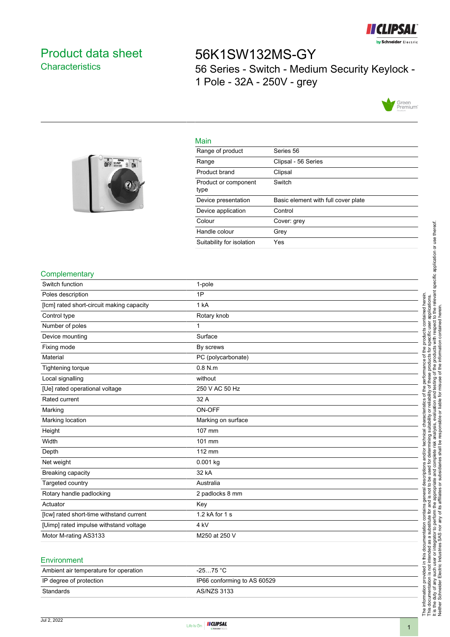

## <span id="page-0-0"></span>Product data sheet **Characteristics**

# 56K1SW132MS-GY 56 Series - Switch - Medium Security Keylock - 1 Pole - 32A - 250V - grey



### Main

| $\begin{array}{ c c c }\n\hline\n0 & \text{cosat} & \text{if} & \text{if} & \text{if} \\ \hline\n0 & \text{if} & \text{cosat} & \text{if} & \text{if} & \text{if} \\ \hline\n\end{array}$ |
|-------------------------------------------------------------------------------------------------------------------------------------------------------------------------------------------|
|                                                                                                                                                                                           |
|                                                                                                                                                                                           |
|                                                                                                                                                                                           |
|                                                                                                                                                                                           |

| .                            |                                     |
|------------------------------|-------------------------------------|
| Range of product             | Series 56                           |
| Range                        | Clipsal - 56 Series                 |
| Product brand                | Clipsal                             |
| Product or component<br>type | Switch                              |
| Device presentation          | Basic element with full cover plate |
| Device application           | Control                             |
| Colour                       | Cover: grey                         |
| Handle colour                | Grey                                |
| Suitability for isolation    | Yes                                 |

#### **Complementary**

| Switch function                           | 1-pole             |
|-------------------------------------------|--------------------|
| Poles description                         | 1P                 |
| [Icm] rated short-circuit making capacity | 1 kA               |
| Control type                              | Rotary knob        |
| Number of poles                           | 1                  |
| Device mounting                           | Surface            |
| Fixing mode                               | By screws          |
| Material                                  | PC (polycarbonate) |
| Tightening torque                         | $0.8$ N.m          |
| Local signalling                          | without            |
| [Ue] rated operational voltage            | 250 V AC 50 Hz     |
| Rated current                             | 32 A               |
| Marking                                   | ON-OFF             |
| Marking location                          | Marking on surface |
| Height                                    | 107 mm             |
| Width                                     | 101 mm             |
| Depth                                     | 112 mm             |
| Net weight                                | $0.001$ kg         |
| Breaking capacity                         | 32 kA              |
| Targeted country                          | Australia          |
| Rotary handle padlocking                  | 2 padlocks 8 mm    |
| Actuator                                  | Key                |
| [lcw] rated short-time withstand current  | 1.2 kA for 1 s     |
| [Uimp] rated impulse withstand voltage    | 4 kV               |
| Motor M-rating AS3133                     | M250 at 250 V      |
|                                           |                    |

#### **Environment**

| Ambient air temperature for operation | $-2575 °C$                  |
|---------------------------------------|-----------------------------|
| IP degree of protection               | IP66 conforming to AS 60529 |
| Standards                             | AS/NZS 3133                 |